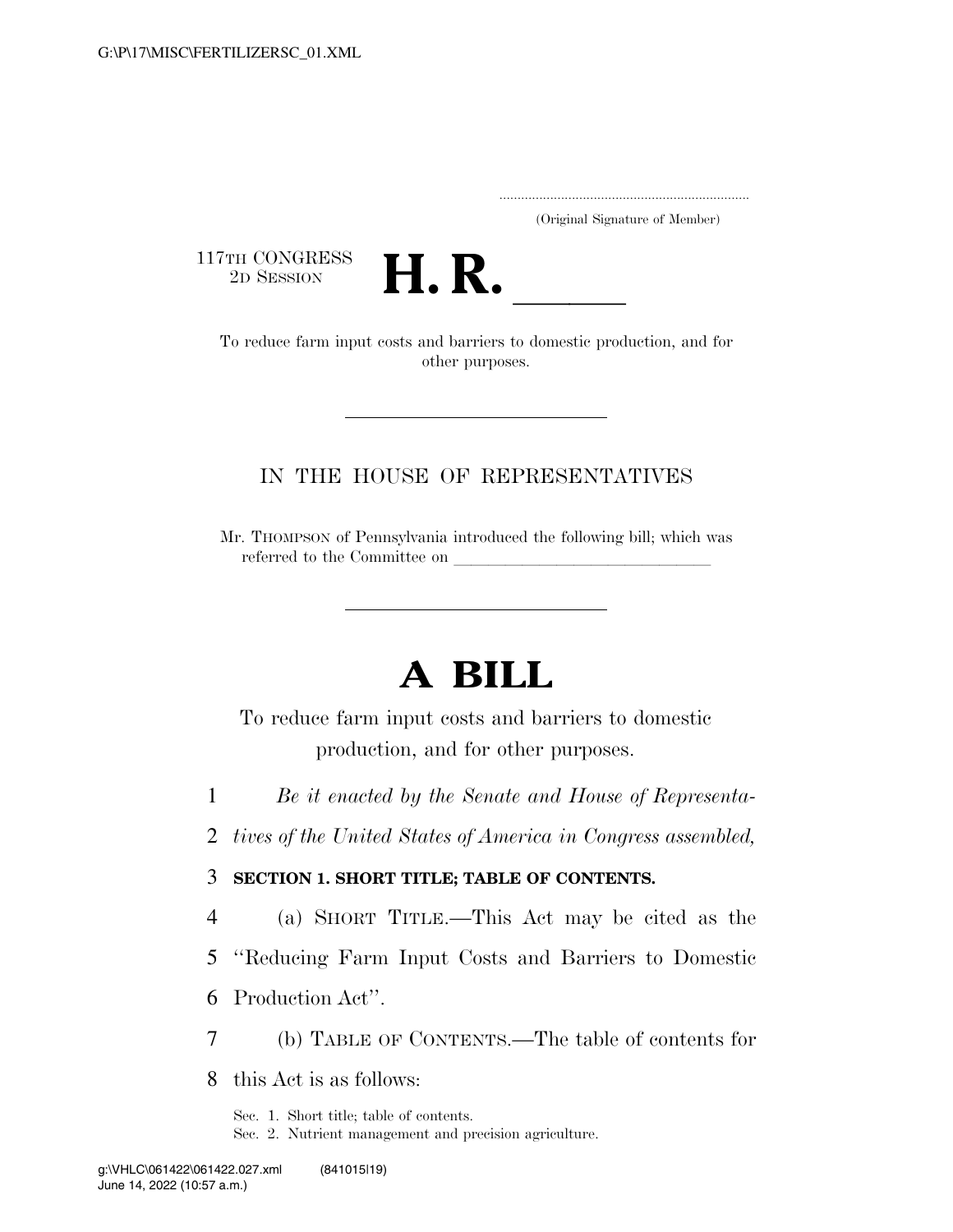.....................................................................

(Original Signature of Member)

117TH CONGRESS<br>2D SESSION



TH CONGRESS<br>
2D SESSION<br>
To reduce farm input costs and barriers to domestic production, and for other purposes.

#### IN THE HOUSE OF REPRESENTATIVES

Mr. THOMPSON of Pennsylvania introduced the following bill; which was referred to the Committee on

# **A BILL**

To reduce farm input costs and barriers to domestic production, and for other purposes.

1 *Be it enacted by the Senate and House of Representa-*

2 *tives of the United States of America in Congress assembled,* 

3 **SECTION 1. SHORT TITLE; TABLE OF CONTENTS.** 

4 (a) SHORT TITLE.—This Act may be cited as the

5 ''Reducing Farm Input Costs and Barriers to Domestic

6 Production Act''.

7 (b) TABLE OF CONTENTS.—The table of contents for

8 this Act is as follows:

Sec. 1. Short title; table of contents.

Sec. 2. Nutrient management and precision agriculture.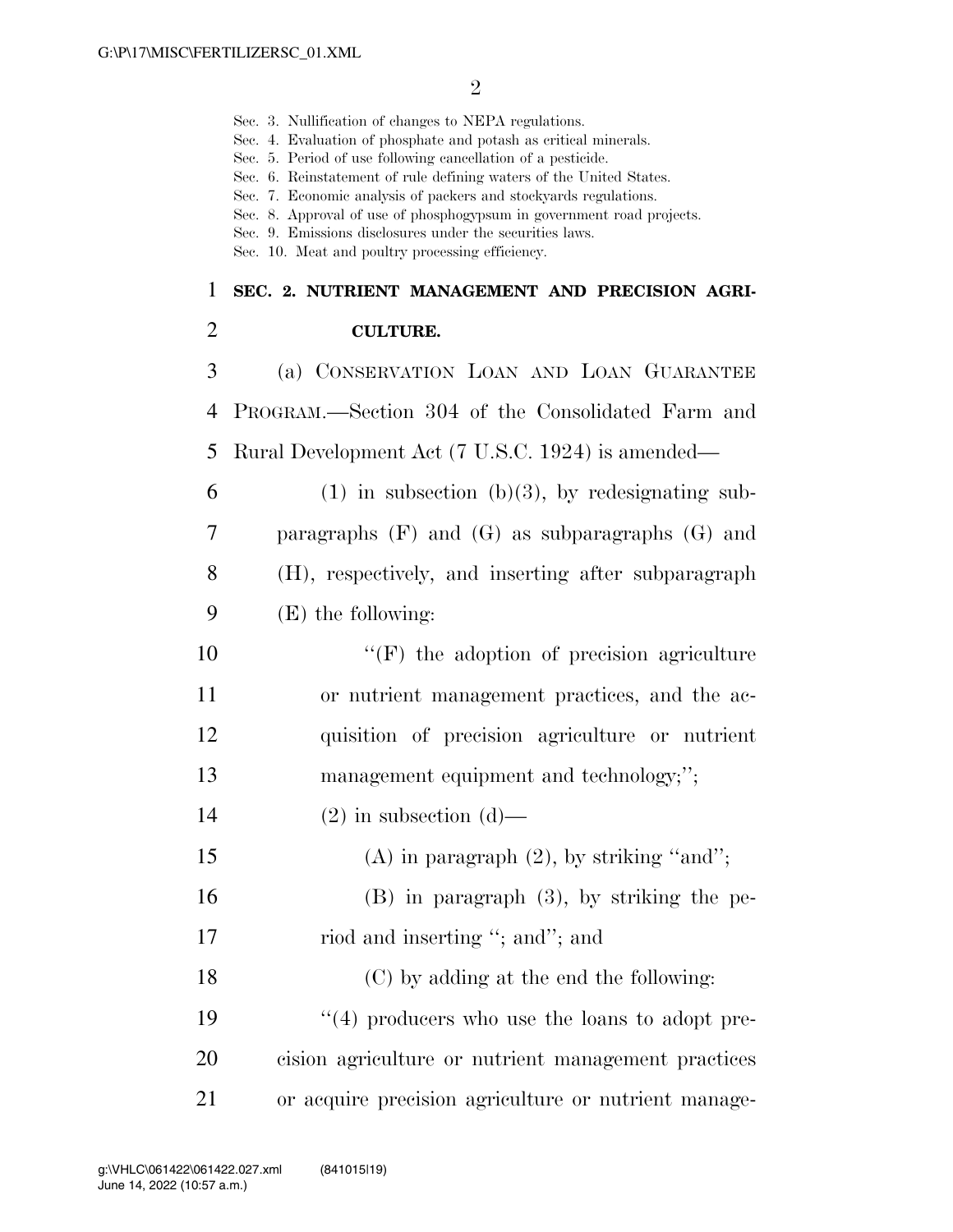Sec. 3. Nullification of changes to NEPA regulations.

|                | Sec. 4. Evaluation of phosphate and potash as critical minerals.<br>Sec. 5. Period of use following cancellation of a pesticide.<br>Sec. 6. Reinstatement of rule defining waters of the United States.<br>Sec. 7. Economic analysis of packers and stockyards regulations.<br>Sec. 8. Approval of use of phosphogypsum in government road projects.<br>Sec. 9. Emissions disclosures under the securities laws.<br>Sec. 10. Meat and poultry processing efficiency. |
|----------------|----------------------------------------------------------------------------------------------------------------------------------------------------------------------------------------------------------------------------------------------------------------------------------------------------------------------------------------------------------------------------------------------------------------------------------------------------------------------|
| $\mathbf{1}$   | SEC. 2. NUTRIENT MANAGEMENT AND PRECISION AGRI-                                                                                                                                                                                                                                                                                                                                                                                                                      |
| $\overline{2}$ | <b>CULTURE.</b>                                                                                                                                                                                                                                                                                                                                                                                                                                                      |
| 3              | (a) CONSERVATION LOAN AND LOAN GUARANTEE                                                                                                                                                                                                                                                                                                                                                                                                                             |
| 4              | PROGRAM.—Section 304 of the Consolidated Farm and                                                                                                                                                                                                                                                                                                                                                                                                                    |
| 5              | Rural Development Act (7 U.S.C. 1924) is amended—                                                                                                                                                                                                                                                                                                                                                                                                                    |
| 6              | $(1)$ in subsection (b)(3), by redesignating sub-                                                                                                                                                                                                                                                                                                                                                                                                                    |
| 7              | paragraphs $(F)$ and $(G)$ as subparagraphs $(G)$ and                                                                                                                                                                                                                                                                                                                                                                                                                |
| 8              | (H), respectively, and inserting after subparagraph                                                                                                                                                                                                                                                                                                                                                                                                                  |
| 9              | $(E)$ the following:                                                                                                                                                                                                                                                                                                                                                                                                                                                 |
| 10             | $\lq\lq(F)$ the adoption of precision agriculture                                                                                                                                                                                                                                                                                                                                                                                                                    |
| 11             | or nutrient management practices, and the ac-                                                                                                                                                                                                                                                                                                                                                                                                                        |
| 12             | quisition of precision agriculture or nutrient                                                                                                                                                                                                                                                                                                                                                                                                                       |
| 13             | management equipment and technology;";                                                                                                                                                                                                                                                                                                                                                                                                                               |
| 14             | $(2)$ in subsection $(d)$ —                                                                                                                                                                                                                                                                                                                                                                                                                                          |
| 15             | $(A)$ in paragraph $(2)$ , by striking "and";                                                                                                                                                                                                                                                                                                                                                                                                                        |
| 16             | $(B)$ in paragraph $(3)$ , by striking the pe-                                                                                                                                                                                                                                                                                                                                                                                                                       |
| 17             | riod and inserting "; and"; and                                                                                                                                                                                                                                                                                                                                                                                                                                      |
| 18             | (C) by adding at the end the following:                                                                                                                                                                                                                                                                                                                                                                                                                              |
| 19             | $\lq(4)$ producers who use the loans to adopt pre-                                                                                                                                                                                                                                                                                                                                                                                                                   |
| 20             | cision agriculture or nutrient management practices                                                                                                                                                                                                                                                                                                                                                                                                                  |
| 21             | or acquire precision agriculture or nutrient manage-                                                                                                                                                                                                                                                                                                                                                                                                                 |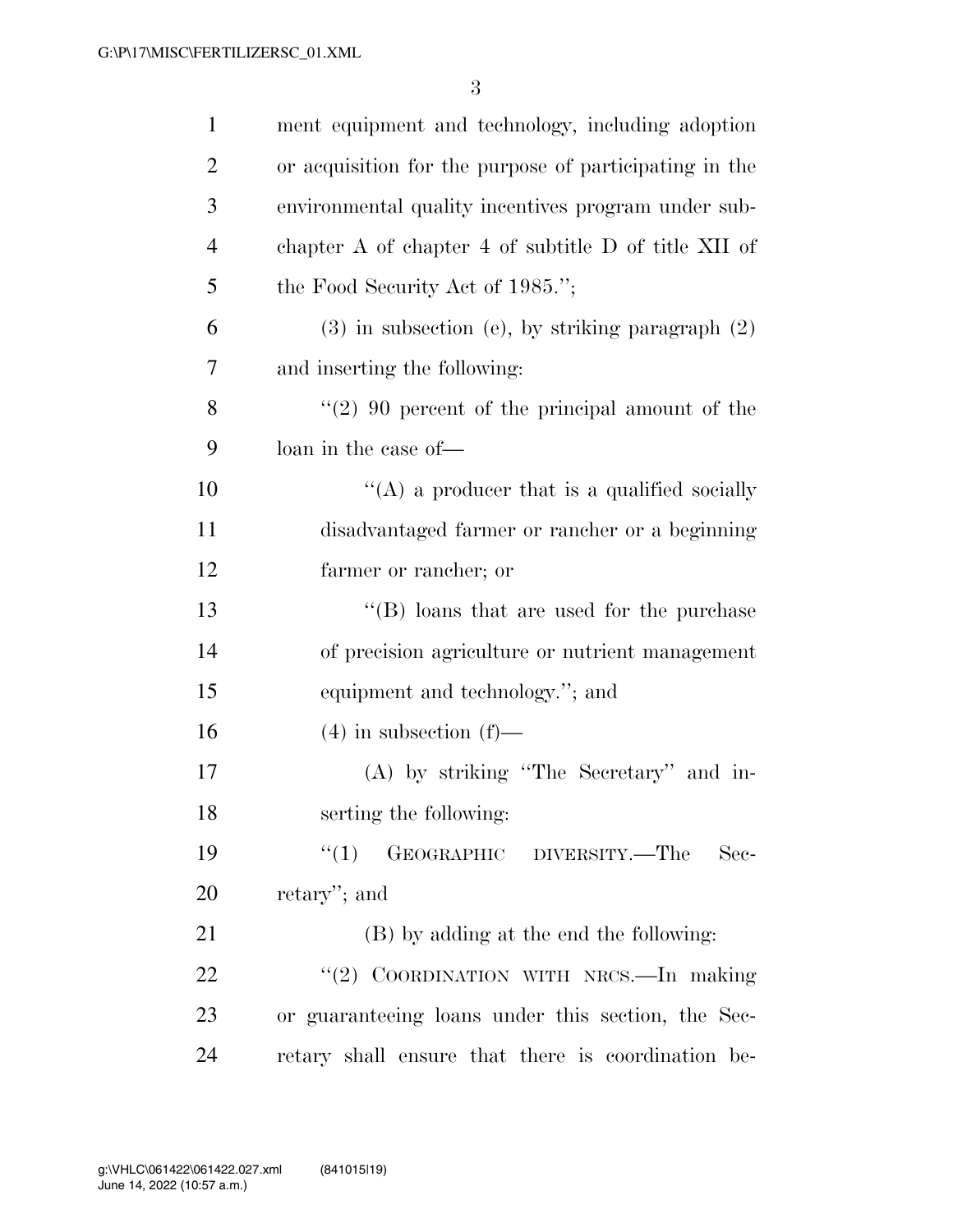| $\mathbf{1}$   | ment equipment and technology, including adoption      |
|----------------|--------------------------------------------------------|
| $\overline{2}$ | or acquisition for the purpose of participating in the |
| 3              | environmental quality incentives program under sub-    |
| $\overline{4}$ | chapter A of chapter 4 of subtitle D of title XII of   |
| 5              | the Food Security Act of 1985.";                       |
| 6              | $(3)$ in subsection (e), by striking paragraph $(2)$   |
| 7              | and inserting the following:                           |
| 8              | $(2)$ 90 percent of the principal amount of the        |
| 9              | loan in the case of—                                   |
| 10             | $\lq\lq$ (A) a producer that is a qualified socially   |
| 11             | disadvantaged farmer or rancher or a beginning         |
| 12             | farmer or rancher; or                                  |
| 13             | $\lq\lq$ (B) loans that are used for the purchase      |
| 14             | of precision agriculture or nutrient management        |
| 15             | equipment and technology."; and                        |
| 16             | $(4)$ in subsection $(f)$ —                            |
| 17             | (A) by striking "The Secretary" and in-                |
| 18             | serting the following:                                 |
| 19             | ``(1)<br>GEOGRAPHIC DIVERSITY.-The<br>Sec-             |
| 20             | retary'; and                                           |
| 21             | (B) by adding at the end the following:                |
| 22             | "(2) COORDINATION WITH NRCS.-In making                 |
| 23             | or guaranteeing loans under this section, the Sec-     |
| 24             | retary shall ensure that there is coordination be-     |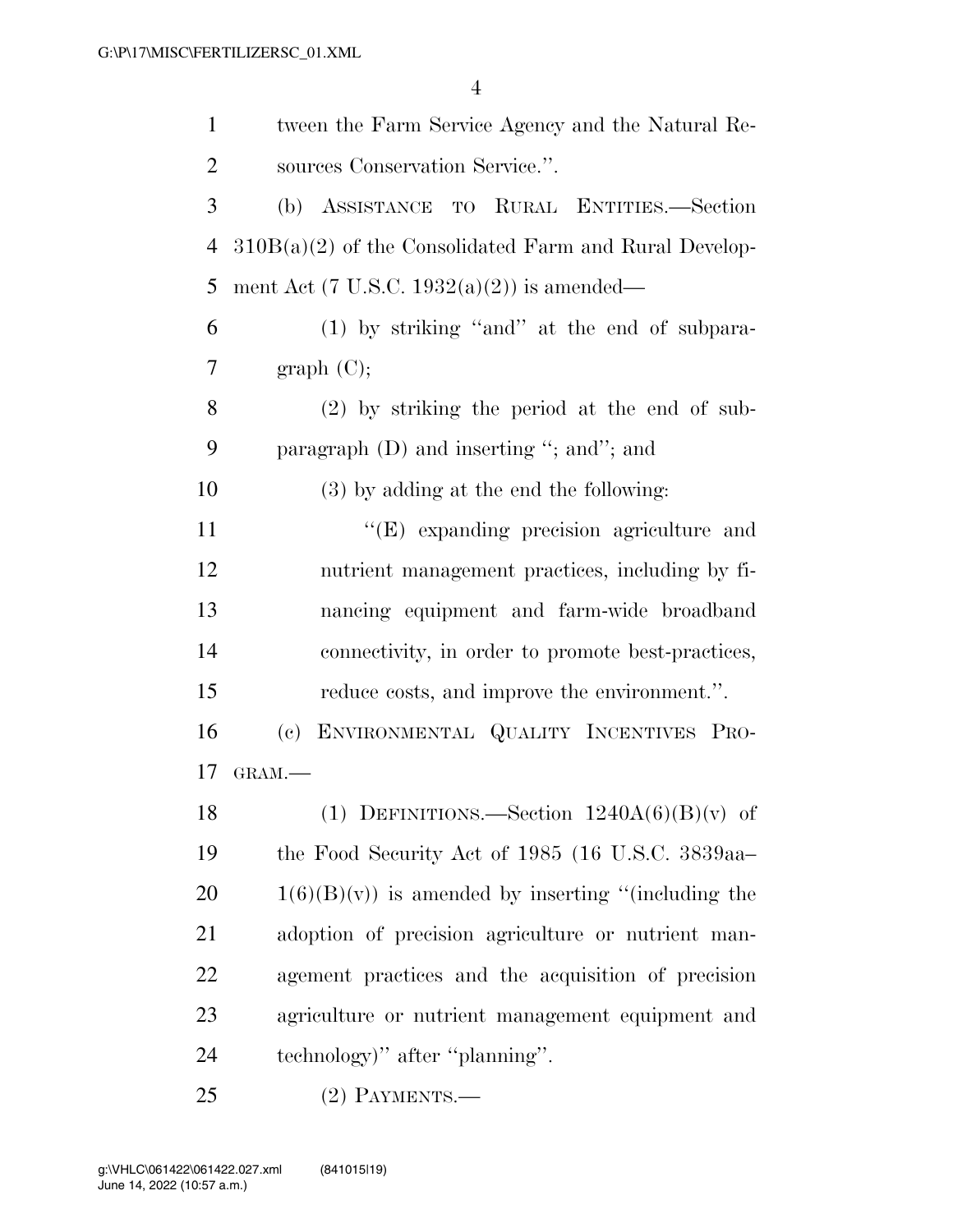| $\mathbf{1}$   | tween the Farm Service Agency and the Natural Re-        |
|----------------|----------------------------------------------------------|
| $\overline{2}$ | sources Conservation Service.".                          |
| 3              | (b) ASSISTANCE TO RURAL ENTITIES.-Section                |
| 4              | $310B(a)(2)$ of the Consolidated Farm and Rural Develop- |
| 5              | ment Act (7 U.S.C. 1932(a)(2)) is amended—               |
| 6              | $(1)$ by striking "and" at the end of subpara-           |
| 7              | graph (C);                                               |
| 8              | $(2)$ by striking the period at the end of sub-          |
| 9              | paragraph $(D)$ and inserting "; and"; and               |
| 10             | $(3)$ by adding at the end the following:                |
| 11             | "(E) expanding precision agriculture and                 |
| 12             | nutrient management practices, including by fi-          |
| 13             | nancing equipment and farm-wide broadband                |
| 14             | connectivity, in order to promote best-practices,        |
| 15             | reduce costs, and improve the environment.".             |
| 16             | ENVIRONMENTAL QUALITY INCENTIVES PRO-<br>(e)             |
| 17             | GRAM.                                                    |
| 18             | (1) DEFINITIONS.—Section $1240A(6)(B)(v)$ of             |
| 19             | the Food Security Act of 1985 (16 U.S.C. 3839aa-         |
| 20             | $1(6)(B)(v)$ is amended by inserting "(including the     |
| 21             | adoption of precision agriculture or nutrient man-       |
| 22             | agement practices and the acquisition of precision       |
| 23             | agriculture or nutrient management equipment and         |
| 24             | technology)" after "planning".                           |
| 25             | $(2)$ PAYMENTS.—                                         |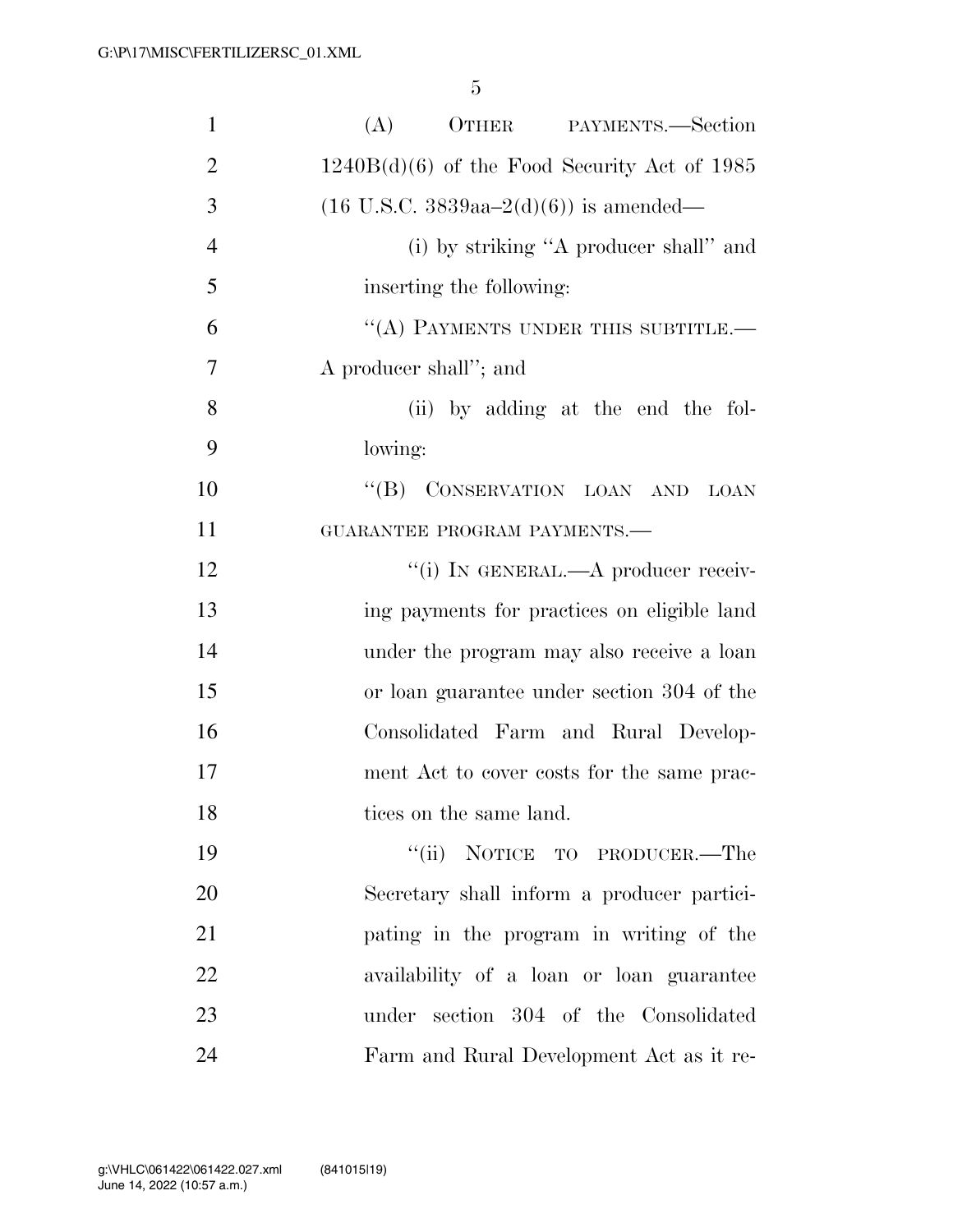| $\mathbf{1}$   | (A)<br>OTHER PAYMENTS.—Section                              |
|----------------|-------------------------------------------------------------|
| $\overline{2}$ | $1240B(d)(6)$ of the Food Security Act of 1985              |
| 3              | $(16 \text{ U.S.C. } 3839 \text{aa} - 2(d)(6))$ is amended— |
| $\overline{4}$ | (i) by striking "A producer shall" and                      |
| 5              | inserting the following:                                    |
| 6              | "(A) PAYMENTS UNDER THIS SUBTITLE.-                         |
| 7              | A producer shall"; and                                      |
| 8              | (ii) by adding at the end the fol-                          |
| 9              | lowing:                                                     |
| 10             | "(B) CONSERVATION LOAN AND LOAN                             |
| 11             | GUARANTEE PROGRAM PAYMENTS.-                                |
| 12             | "(i) IN GENERAL.—A producer receiv-                         |
| 13             | ing payments for practices on eligible land                 |
| 14             | under the program may also receive a loan                   |
| 15             | or loan guarantee under section 304 of the                  |
| 16             | Consolidated Farm and Rural Develop-                        |
| 17             | ment Act to cover costs for the same prac-                  |
| 18             | tices on the same land.                                     |
| 19             | "(ii) NOTICE TO PRODUCER.—The                               |
| 20             | Secretary shall inform a producer partici-                  |
| 21             | pating in the program in writing of the                     |
| 22             | availability of a loan or loan guarantee                    |
| 23             | under section 304 of the Consolidated                       |
| 24             | Farm and Rural Development Act as it re-                    |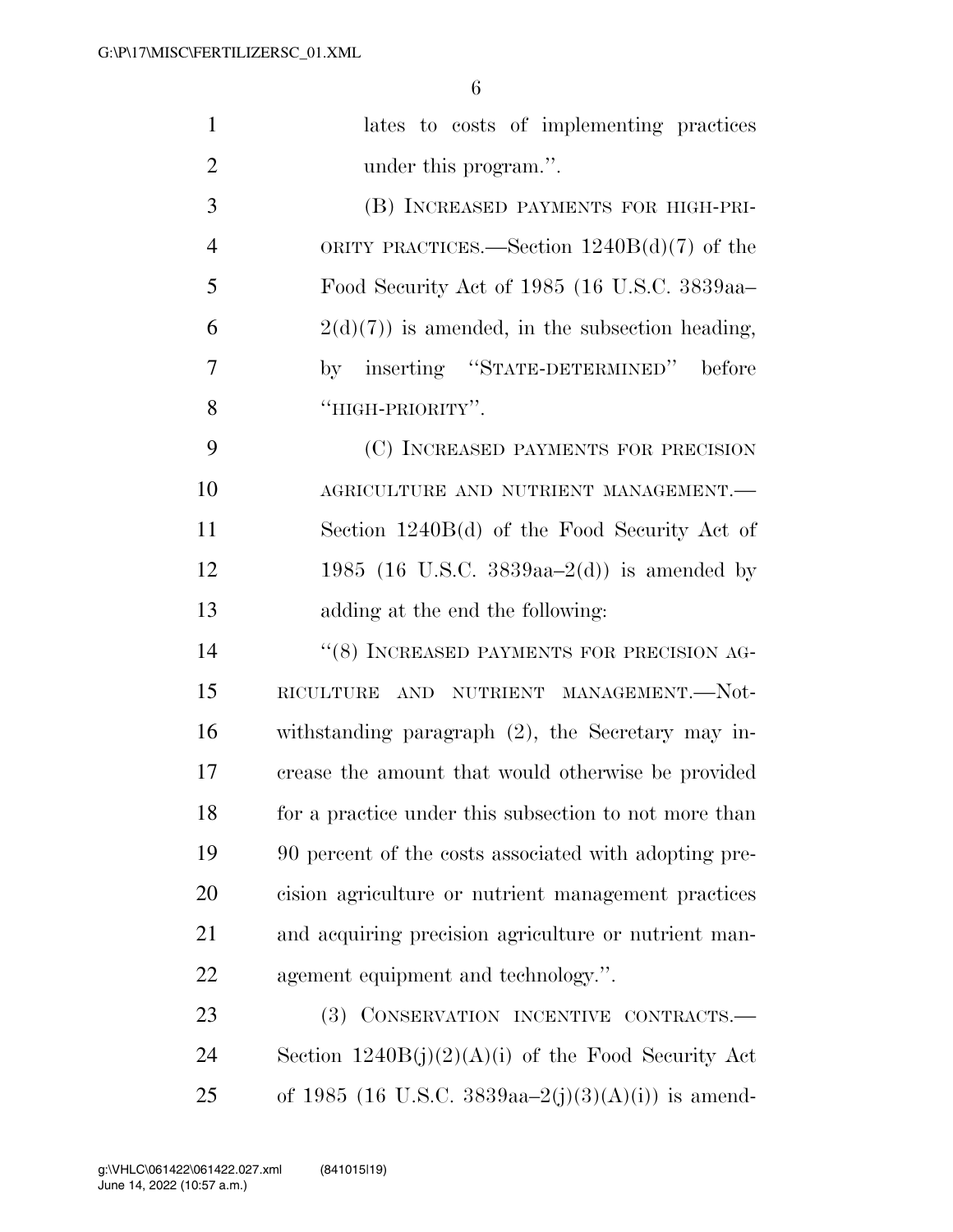| $\mathbf{1}$   | lates to costs of implementing practices              |
|----------------|-------------------------------------------------------|
| $\overline{2}$ | under this program.".                                 |
| 3              | (B) INCREASED PAYMENTS FOR HIGH-PRI-                  |
| $\overline{4}$ | ORITY PRACTICES.—Section $1240B(d)(7)$ of the         |
| 5              | Food Security Act of 1985 (16 U.S.C. 3839aa-          |
| 6              | $2(d)(7)$ is amended, in the subsection heading,      |
| 7              | by inserting "STATE-DETERMINED" before                |
| 8              | "HIGH-PRIORITY".                                      |
| 9              | (C) INCREASED PAYMENTS FOR PRECISION                  |
| 10             | AGRICULTURE AND NUTRIENT MANAGEMENT.                  |
| 11             | Section 1240B(d) of the Food Security Act of          |
| 12             | 1985 (16 U.S.C. 3839aa–2(d)) is amended by            |
| 13             | adding at the end the following:                      |
| 14             | "(8) INCREASED PAYMENTS FOR PRECISION AG-             |
| 15             | AND NUTRIENT MANAGEMENT.--Not-<br>RICULTURE           |
| 16             | withstanding paragraph $(2)$ , the Secretary may in-  |
| 17             | crease the amount that would otherwise be provided    |
| 18             | for a practice under this subsection to not more than |
| 19             | 90 percent of the costs associated with adopting pre- |
| 20             | cision agriculture or nutrient management practices   |
| 21             | and acquiring precision agriculture or nutrient man-  |
| 22             | agement equipment and technology.".                   |
| 23             | (3) CONSERVATION INCENTIVE CONTRACTS.-                |
| 24             | Section $1240B(j)(2)(A)(i)$ of the Food Security Act  |
| 25             | of 1985 (16 U.S.C. 3839aa-2(j)(3)(A)(i)) is amend-    |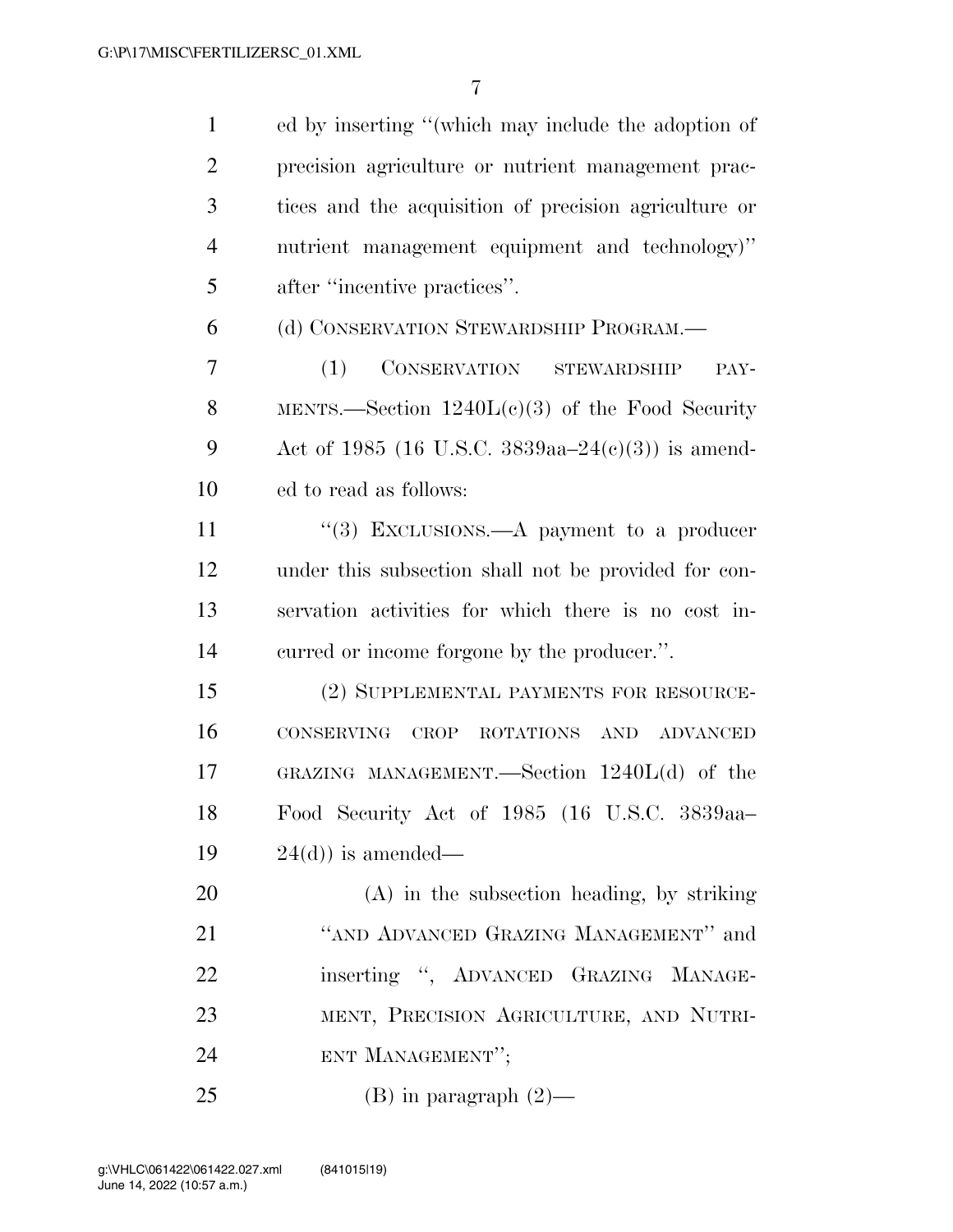| $\mathbf{1}$   | ed by inserting "(which may include the adoption of   |
|----------------|-------------------------------------------------------|
| $\overline{2}$ | precision agriculture or nutrient management prac-    |
| 3              | tices and the acquisition of precision agriculture or |
| $\overline{4}$ | nutrient management equipment and technology)"        |
| 5              | after "incentive practices".                          |
| 6              | (d) CONSERVATION STEWARDSHIP PROGRAM.—                |
| 7              | (1)<br>CONSERVATION STEWARDSHIP<br>PAY-               |
| 8              | MENTS.—Section $1240L(c)(3)$ of the Food Security     |
| 9              | Act of 1985 (16 U.S.C. 3839aa–24(c)(3)) is amend-     |
| 10             | ed to read as follows:                                |
| 11             | "(3) EXCLUSIONS.—A payment to a producer              |
| 12             | under this subsection shall not be provided for con-  |
| 13             | servation activities for which there is no cost in-   |
| 14             | curred or income forgone by the producer.".           |
| 15             | (2) SUPPLEMENTAL PAYMENTS FOR RESOURCE-               |
| 16             | CONSERVING CROP<br>ROTATIONS AND ADVANCED             |
| 17             | GRAZING MANAGEMENT.—Section $1240L(d)$ of the         |
| 18             | Food Security Act of 1985 (16 U.S.C. 3839aa-          |
| 19             | $24(d)$ is amended—                                   |
| 20             | $(A)$ in the subsection heading, by striking          |
| 21             | "AND ADVANCED GRAZING MANAGEMENT" and                 |
| 22             | inserting ", ADVANCED GRAZING MANAGE-                 |
| 23             | MENT, PRECISION AGRICULTURE, AND NUTRI-               |
| 24             | ENT MANAGEMENT";                                      |
| 25             | $(B)$ in paragraph $(2)$ —                            |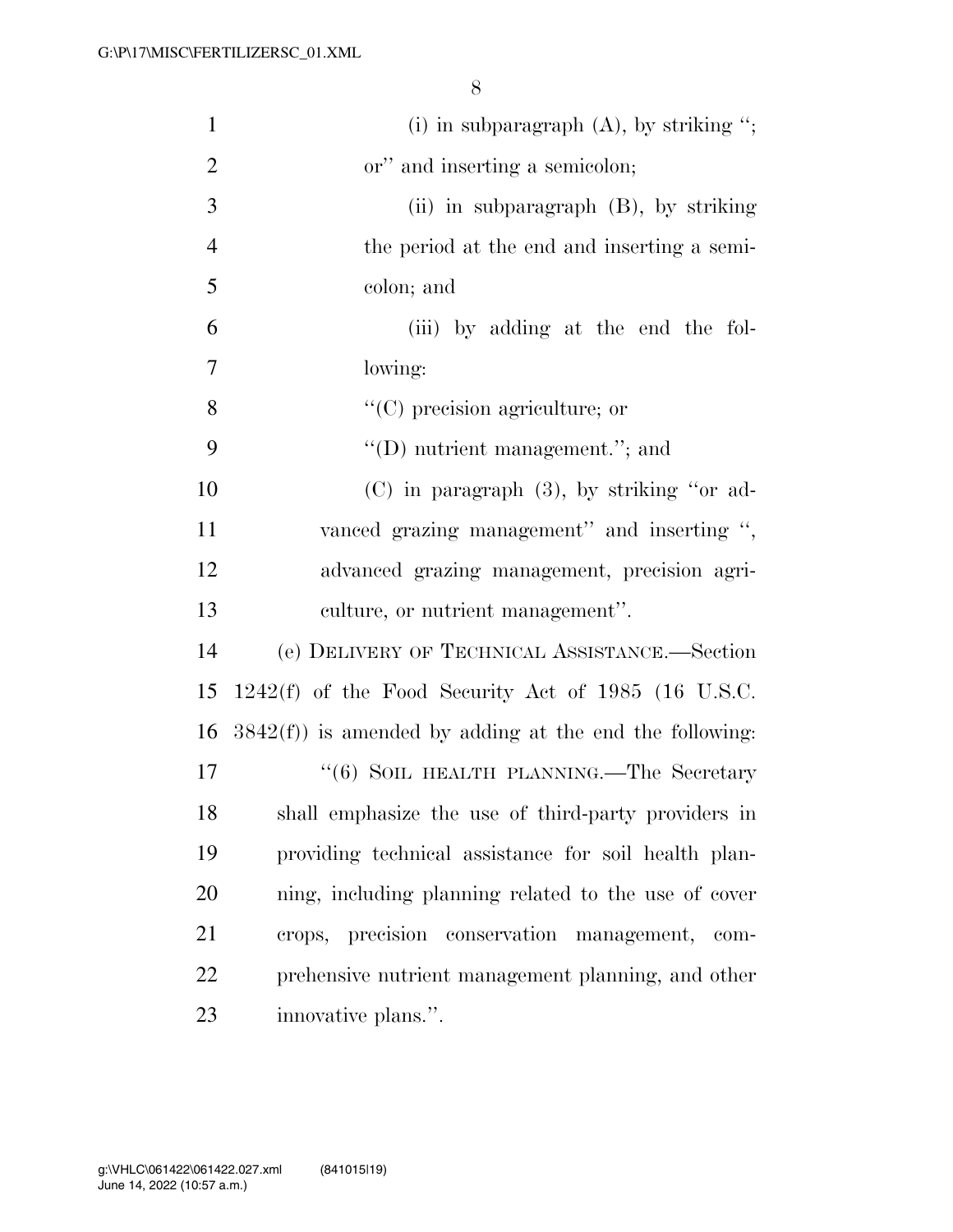| $\mathbf{1}$   | (i) in subparagraph $(A)$ , by striking ";                 |
|----------------|------------------------------------------------------------|
| $\overline{2}$ | or" and inserting a semicolon;                             |
| 3              | (ii) in subparagraph $(B)$ , by striking                   |
| $\overline{4}$ | the period at the end and inserting a semi-                |
| 5              | colon; and                                                 |
| 6              | (iii) by adding at the end the fol-                        |
| $\tau$         | lowing:                                                    |
| 8              | $\lq\lq$ (C) precision agriculture; or                     |
| 9              | $\lq\lq$ (D) nutrient management."; and                    |
| 10             | $(C)$ in paragraph $(3)$ , by striking "or ad-             |
| 11             | vanced grazing management" and inserting ",                |
| 12             | advanced grazing management, precision agri-               |
| 13             | culture, or nutrient management".                          |
| 14             | (e) DELIVERY OF TECHNICAL ASSISTANCE.—Section              |
| 15             | $1242(f)$ of the Food Security Act of 1985 (16 U.S.C.      |
| 16             | $3842(f)$ ) is amended by adding at the end the following: |
| 17             | "(6) SOIL HEALTH PLANNING.—The Secretary                   |
| 18             | shall emphasize the use of third-party providers in        |
| 19             | providing technical assistance for soil health plan-       |
| 20             | ning, including planning related to the use of cover       |
| 21             | precision conservation management, com-<br>crops,          |
| 22             | prehensive nutrient management planning, and other         |
| 23             | innovative plans.".                                        |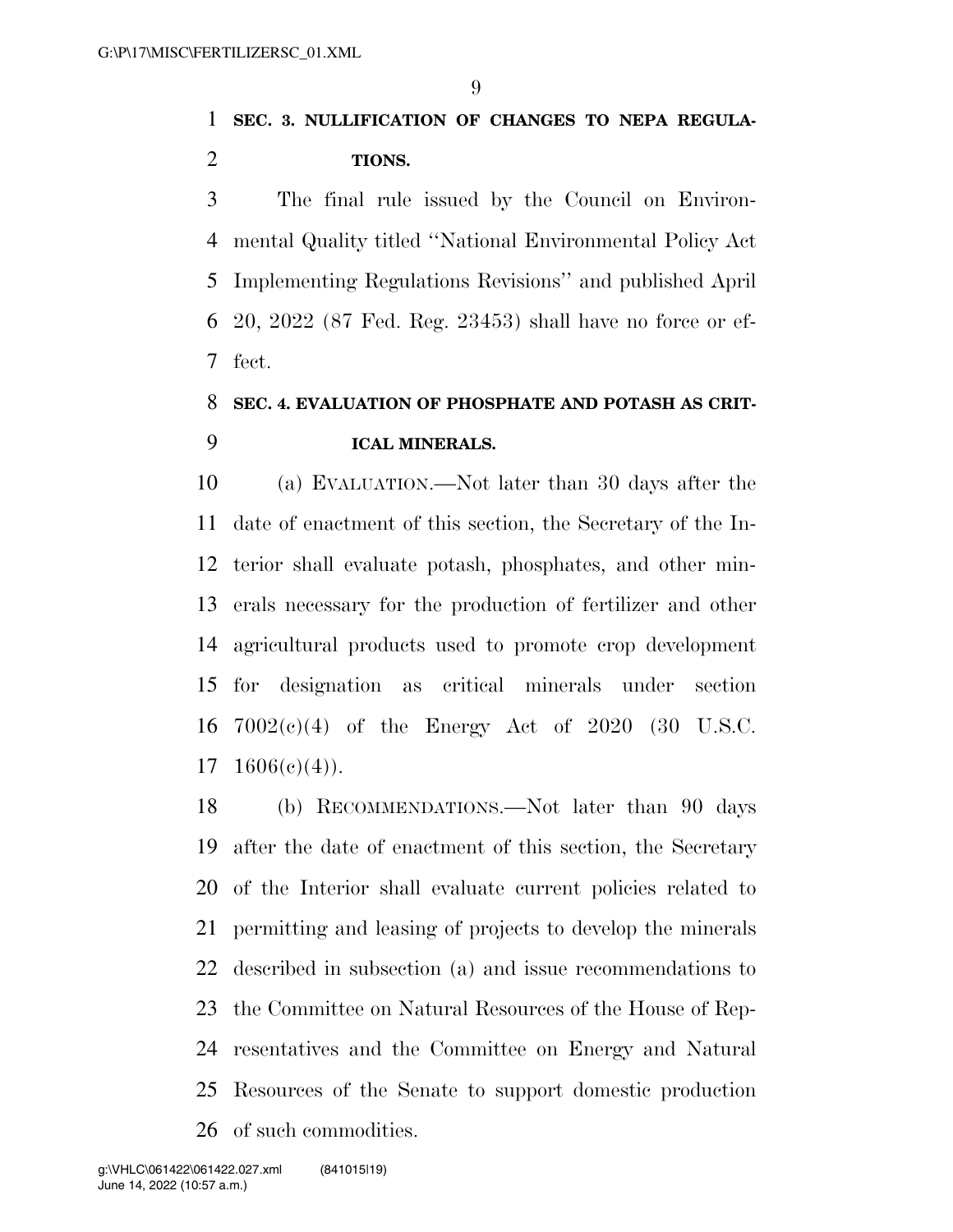## **SEC. 3. NULLIFICATION OF CHANGES TO NEPA REGULA-TIONS.**

 The final rule issued by the Council on Environ- mental Quality titled ''National Environmental Policy Act Implementing Regulations Revisions'' and published April 20, 2022 (87 Fed. Reg. 23453) shall have no force or ef-fect.

## **SEC. 4. EVALUATION OF PHOSPHATE AND POTASH AS CRIT-ICAL MINERALS.**

 (a) EVALUATION.—Not later than 30 days after the date of enactment of this section, the Secretary of the In- terior shall evaluate potash, phosphates, and other min- erals necessary for the production of fertilizer and other agricultural products used to promote crop development for designation as critical minerals under section 7002(c)(4) of the Energy Act of 2020 (30 U.S.C.  $17 \quad 1606(e)(4)$ ).

 (b) RECOMMENDATIONS.—Not later than 90 days after the date of enactment of this section, the Secretary of the Interior shall evaluate current policies related to permitting and leasing of projects to develop the minerals described in subsection (a) and issue recommendations to the Committee on Natural Resources of the House of Rep- resentatives and the Committee on Energy and Natural Resources of the Senate to support domestic production of such commodities.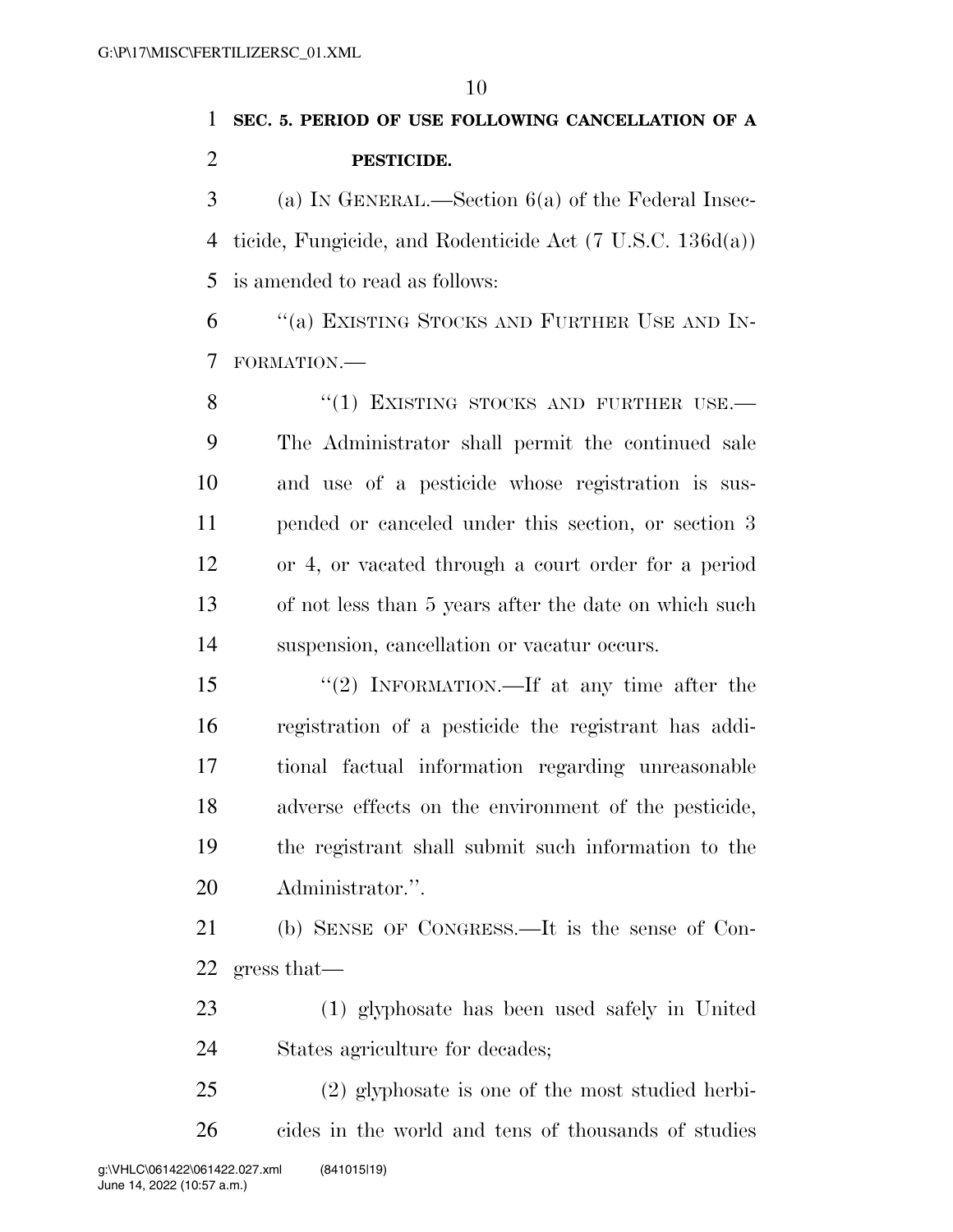## **SEC. 5. PERIOD OF USE FOLLOWING CANCELLATION OF A PESTICIDE.**

 (a) IN GENERAL.—Section 6(a) of the Federal Insec- ticide, Fungicide, and Rodenticide Act (7 U.S.C. 136d(a)) is amended to read as follows:

 ''(a) EXISTING STOCKS AND FURTHER USE AND IN-FORMATION.—

8 "(1) EXISTING STOCKS AND FURTHER USE. The Administrator shall permit the continued sale and use of a pesticide whose registration is sus- pended or canceled under this section, or section 3 or 4, or vacated through a court order for a period of not less than 5 years after the date on which such suspension, cancellation or vacatur occurs.

 ''(2) INFORMATION.—If at any time after the registration of a pesticide the registrant has addi- tional factual information regarding unreasonable adverse effects on the environment of the pesticide, the registrant shall submit such information to the Administrator.''.

 (b) SENSE OF CONGRESS.—It is the sense of Con-gress that—

 (1) glyphosate has been used safely in United States agriculture for decades;

 (2) glyphosate is one of the most studied herbi-cides in the world and tens of thousands of studies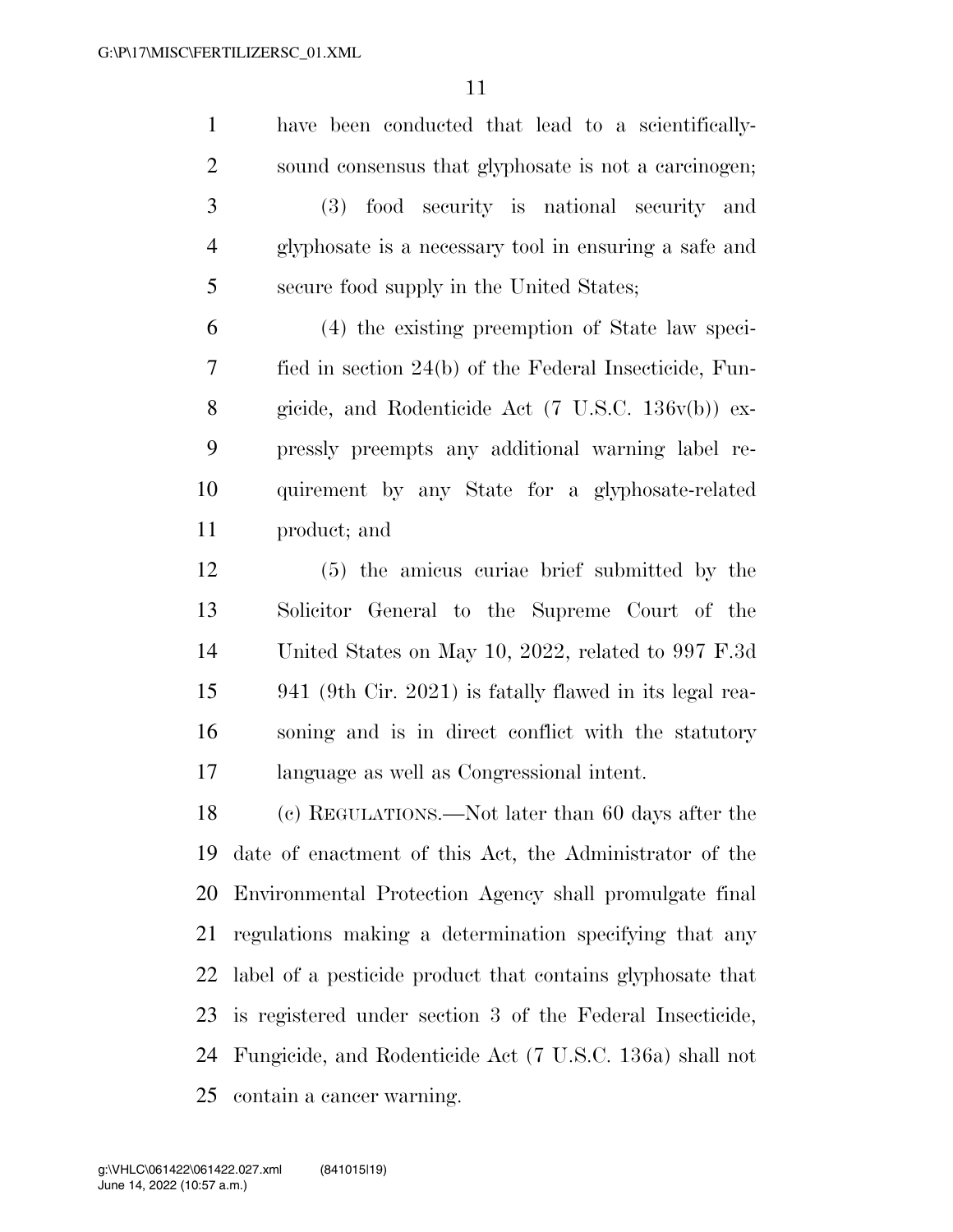have been conducted that lead to a scientifically- sound consensus that glyphosate is not a carcinogen; (3) food security is national security and glyphosate is a necessary tool in ensuring a safe and secure food supply in the United States;

 (4) the existing preemption of State law speci- fied in section 24(b) of the Federal Insecticide, Fun- gicide, and Rodenticide Act (7 U.S.C. 136v(b)) ex- pressly preempts any additional warning label re- quirement by any State for a glyphosate-related product; and

 (5) the amicus curiae brief submitted by the Solicitor General to the Supreme Court of the United States on May 10, 2022, related to 997 F.3d 941 (9th Cir. 2021) is fatally flawed in its legal rea- soning and is in direct conflict with the statutory language as well as Congressional intent.

 (c) REGULATIONS.—Not later than 60 days after the date of enactment of this Act, the Administrator of the Environmental Protection Agency shall promulgate final regulations making a determination specifying that any label of a pesticide product that contains glyphosate that is registered under section 3 of the Federal Insecticide, Fungicide, and Rodenticide Act (7 U.S.C. 136a) shall not contain a cancer warning.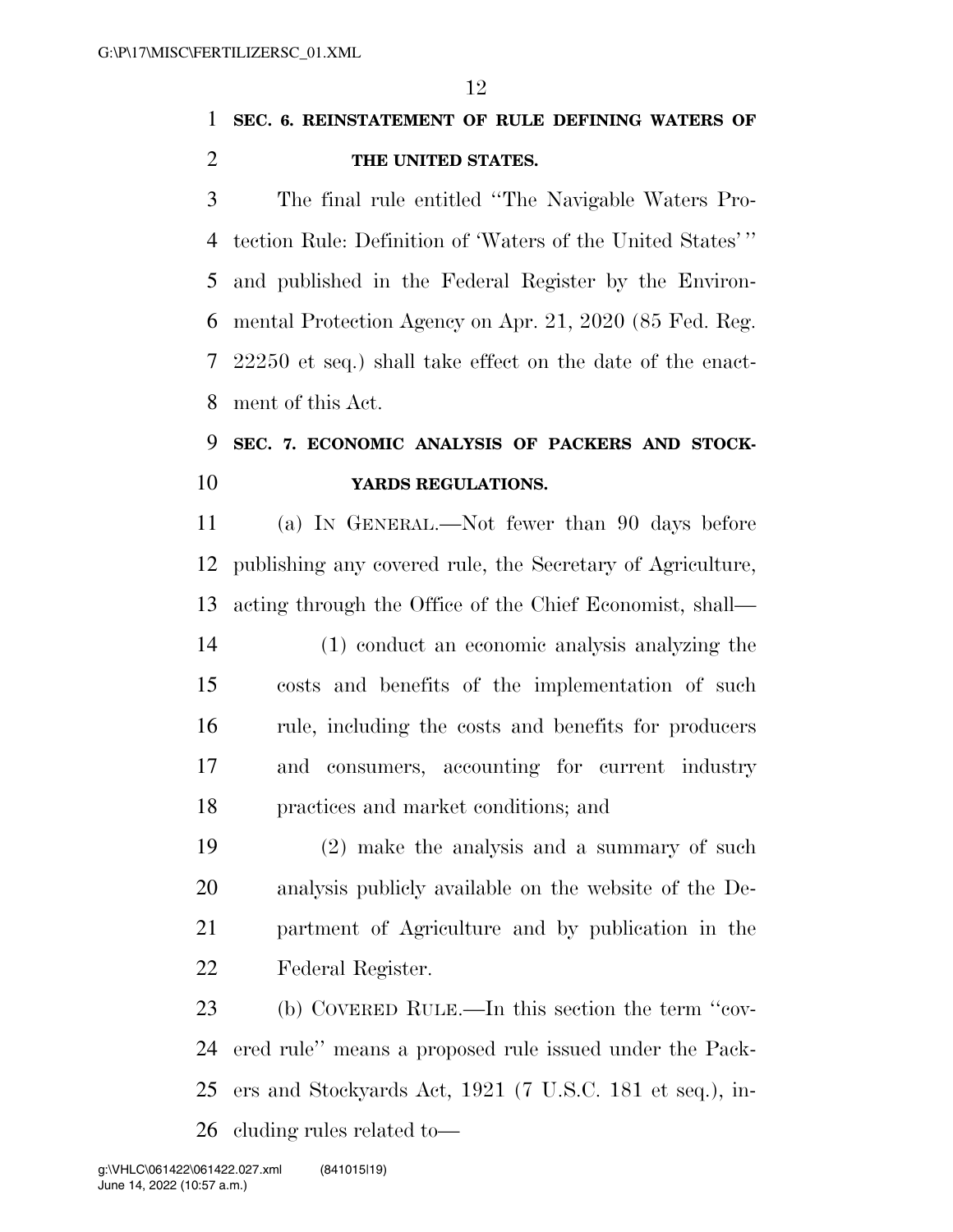**SEC. 6. REINSTATEMENT OF RULE DEFINING WATERS OF THE UNITED STATES.** 

 The final rule entitled ''The Navigable Waters Pro- tection Rule: Definition of 'Waters of the United States' '' and published in the Federal Register by the Environ- mental Protection Agency on Apr. 21, 2020 (85 Fed. Reg. 22250 et seq.) shall take effect on the date of the enact-ment of this Act.

## **SEC. 7. ECONOMIC ANALYSIS OF PACKERS AND STOCK-YARDS REGULATIONS.**

 (a) IN GENERAL.—Not fewer than 90 days before publishing any covered rule, the Secretary of Agriculture, acting through the Office of the Chief Economist, shall—

 (1) conduct an economic analysis analyzing the costs and benefits of the implementation of such rule, including the costs and benefits for producers and consumers, accounting for current industry practices and market conditions; and

 (2) make the analysis and a summary of such analysis publicly available on the website of the De- partment of Agriculture and by publication in the Federal Register.

 (b) COVERED RULE.—In this section the term ''cov- ered rule'' means a proposed rule issued under the Pack- ers and Stockyards Act, 1921 (7 U.S.C. 181 et seq.), in-cluding rules related to—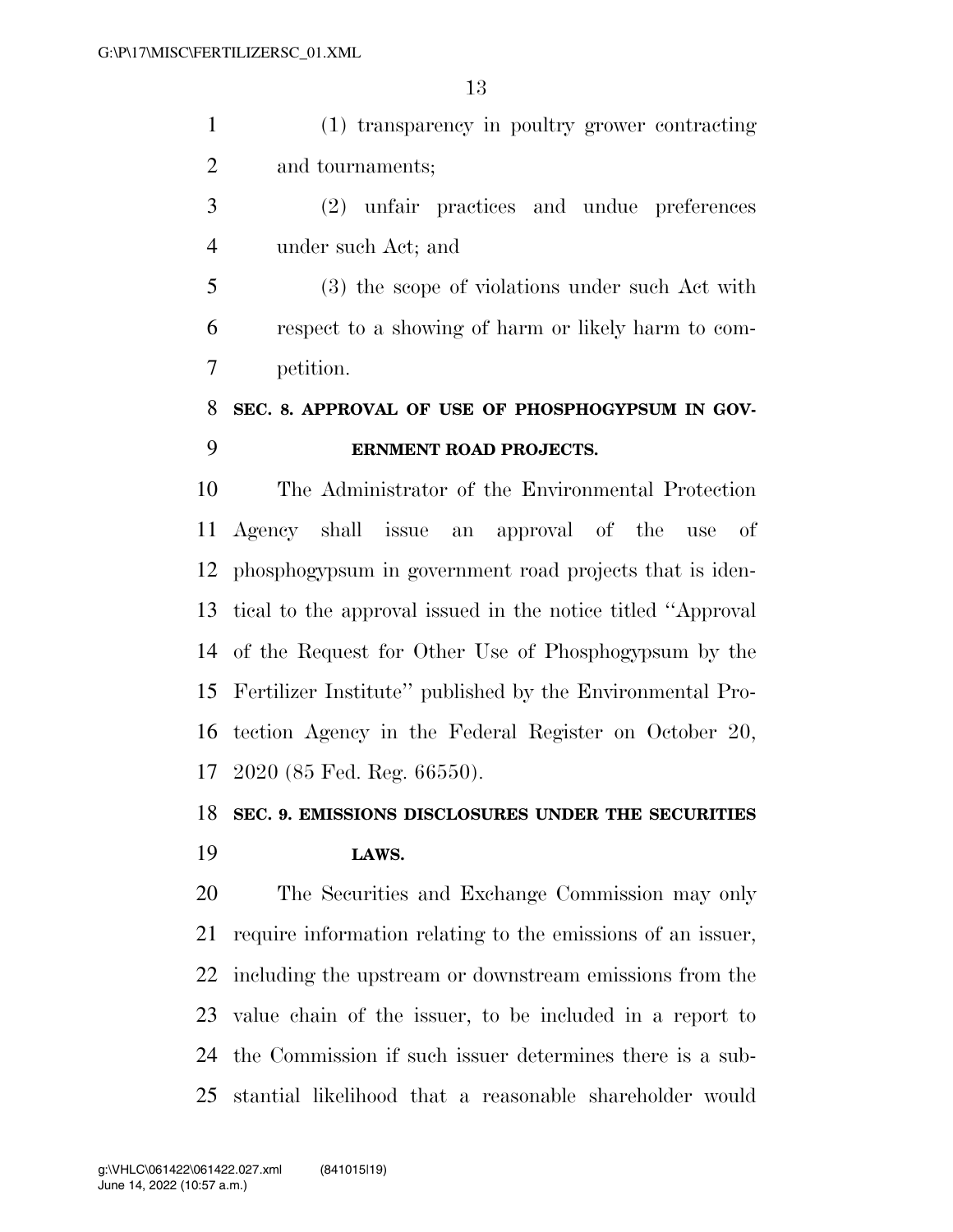(1) transparency in poultry grower contracting and tournaments;

 (2) unfair practices and undue preferences under such Act; and

 (3) the scope of violations under such Act with respect to a showing of harm or likely harm to com-petition.

### **SEC. 8. APPROVAL OF USE OF PHOSPHOGYPSUM IN GOV-ERNMENT ROAD PROJECTS.**

 The Administrator of the Environmental Protection Agency shall issue an approval of the use of phosphogypsum in government road projects that is iden- tical to the approval issued in the notice titled ''Approval of the Request for Other Use of Phosphogypsum by the Fertilizer Institute'' published by the Environmental Pro- tection Agency in the Federal Register on October 20, 2020 (85 Fed. Reg. 66550).

### **SEC. 9. EMISSIONS DISCLOSURES UNDER THE SECURITIES**

#### **LAWS.**

 The Securities and Exchange Commission may only require information relating to the emissions of an issuer, including the upstream or downstream emissions from the value chain of the issuer, to be included in a report to the Commission if such issuer determines there is a sub-stantial likelihood that a reasonable shareholder would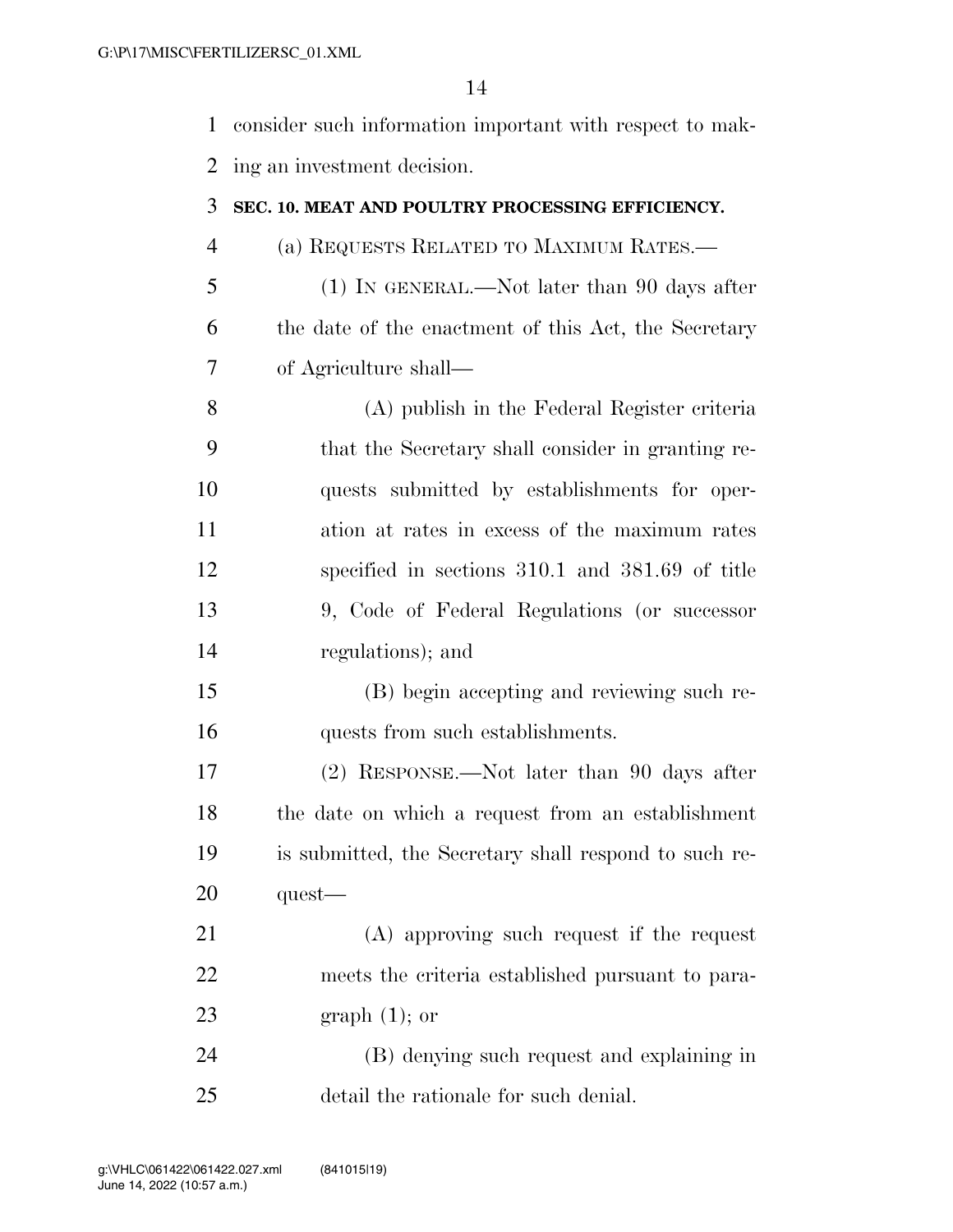| 1  | consider such information important with respect to mak- |
|----|----------------------------------------------------------|
| 2  | ing an investment decision.                              |
| 3  | SEC. 10. MEAT AND POULTRY PROCESSING EFFICIENCY.         |
| 4  | (a) REQUESTS RELATED TO MAXIMUM RATES.-                  |
| 5  | (1) IN GENERAL.—Not later than 90 days after             |
| 6  | the date of the enactment of this Act, the Secretary     |
| 7  | of Agriculture shall—                                    |
| 8  | (A) publish in the Federal Register criteria             |
| 9  | that the Secretary shall consider in granting re-        |
| 10 | quests submitted by establishments for oper-             |
| 11 | ation at rates in excess of the maximum rates            |
| 12 | specified in sections 310.1 and 381.69 of title          |
| 13 | 9, Code of Federal Regulations (or successor             |
| 14 | regulations); and                                        |
| 15 | (B) begin accepting and reviewing such re-               |
| 16 | quests from such establishments.                         |
| 17 | (2) RESPONSE.—Not later than 90 days after               |
| 18 | the date on which a request from an establishment        |
| 19 | is submitted, the Secretary shall respond to such re-    |
| 20 | $quest$ —                                                |
| 21 | (A) approving such request if the request                |
| 22 | meets the criteria established pursuant to para-         |
| 23 | graph $(1)$ ; or                                         |
|    |                                                          |

 (B) denying such request and explaining in detail the rationale for such denial.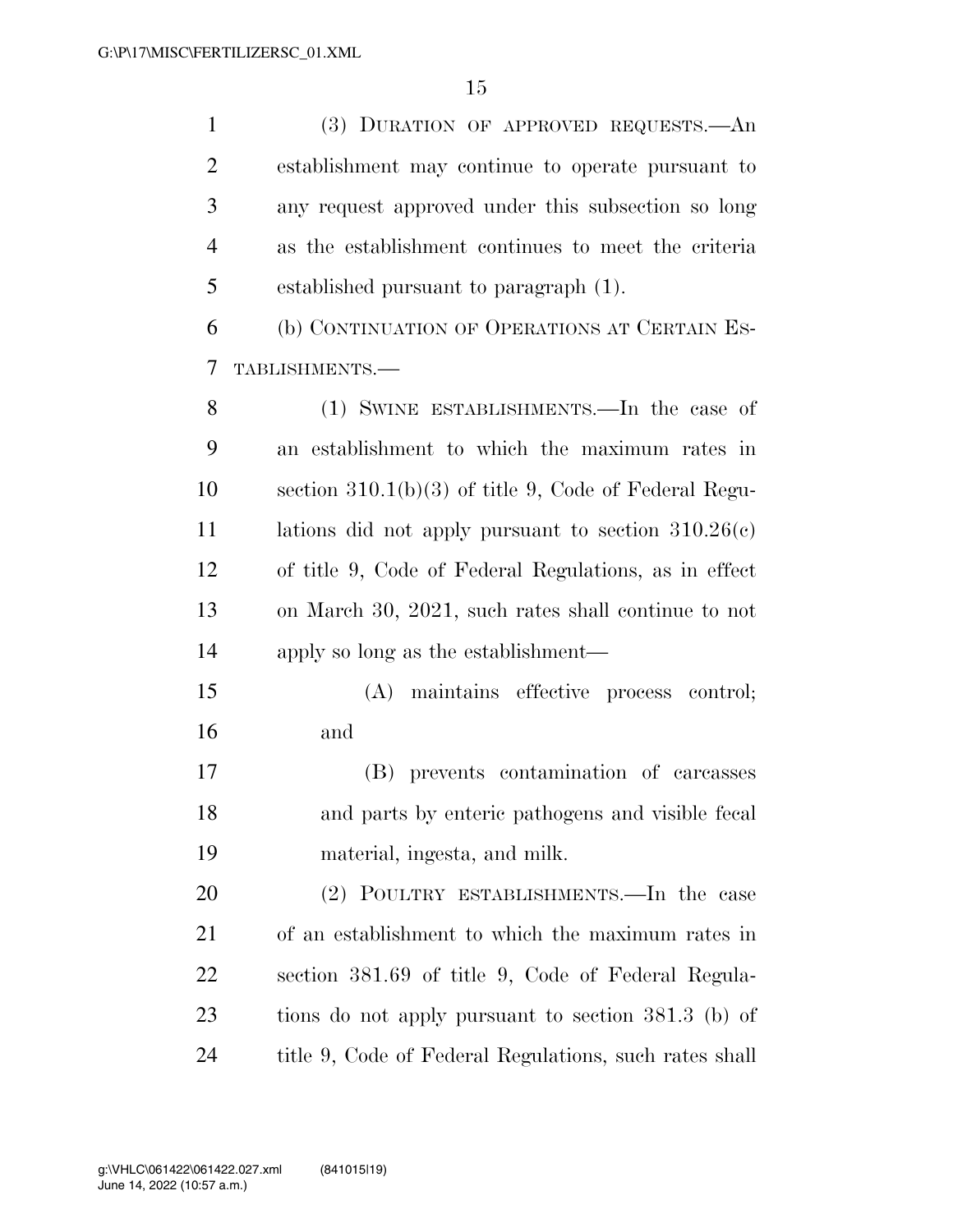| $\mathbf{1}$   | (3) DURATION OF APPROVED REQUESTS.—An                   |
|----------------|---------------------------------------------------------|
| $\overline{2}$ | establishment may continue to operate pursuant to       |
| 3              | any request approved under this subsection so long      |
| $\overline{4}$ | as the establishment continues to meet the criteria     |
| 5              | established pursuant to paragraph (1).                  |
| 6              | (b) CONTINUATION OF OPERATIONS AT CERTAIN ES-           |
| 7              | TABLISHMENTS.-                                          |
| 8              | (1) SWINE ESTABLISHMENTS.—In the case of                |
| 9              | an establishment to which the maximum rates in          |
| 10             | section $310.1(b)(3)$ of title 9, Code of Federal Regu- |
| 11             | lations did not apply pursuant to section $310.26(c)$   |
| 12             | of title 9, Code of Federal Regulations, as in effect   |
| 13             | on March 30, 2021, such rates shall continue to not     |
| 14             | apply so long as the establishment—                     |
| 15             | maintains effective process control;<br>(A)             |
| 16             | and                                                     |
| 17             | (B) prevents contamination of carcasses                 |
| 18             | and parts by enteric pathogens and visible fecal        |
| 19             | material, ingesta, and milk.                            |
| 20             | (2) POULTRY ESTABLISHMENTS.—In the case                 |
| 21             | of an establishment to which the maximum rates in       |
| 22             | section 381.69 of title 9, Code of Federal Regula-      |
| 23             | tions do not apply pursuant to section 381.3 (b) of     |
| 24             | title 9, Code of Federal Regulations, such rates shall  |